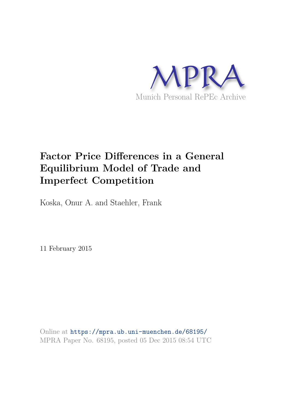

## **Factor Price Differences in a General Equilibrium Model of Trade and Imperfect Competition**

Koska, Onur A. and Staehler, Frank

11 February 2015

Online at https://mpra.ub.uni-muenchen.de/68195/ MPRA Paper No. 68195, posted 05 Dec 2015 08:54 UTC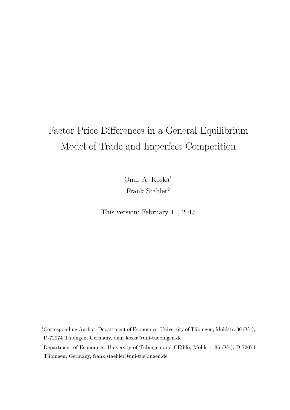# Factor Price Differences in a General Equilibrium Model of Trade and Imperfect Competition

Onur A. Koska<sup>1</sup> Frank Stähler<sup>2</sup>

This version: February 11, 2015

<sup>1</sup>Corresponding Author. Department of Economics, University of Tübingen, Mohlstr. 36 (V4), D-72074 Tübingen, Germany, onur.koska@uni-tuebingen.de

<sup>2</sup>Department of Economics, University of Tübingen and CESifo, Mohlstr. 36 (V4), D-72074 Tübingen, Germany, frank.staehler@uni-tuebingen.de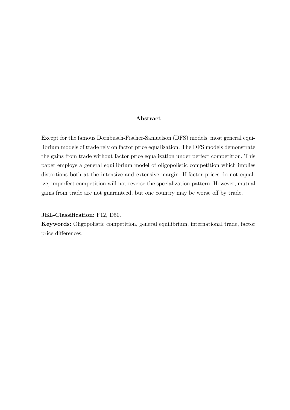#### **Abstract**

Except for the famous Dornbusch-Fischer-Samuelson (DFS) models, most general equilibrium models of trade rely on factor price equalization. The DFS models demonstrate the gains from trade without factor price equalization under perfect competition. This paper employs a general equilibrium model of oligopolistic competition which implies distortions both at the intensive and extensive margin. If factor prices do not equalize, imperfect competition will not reverse the specialization pattern. However, mutual gains from trade are not guaranteed, but one country may be worse off by trade.

#### **JEL-Classification:** F12, D50.

**Keywords:** Oligopolistic competition, general equilibrium, international trade, factor price differences.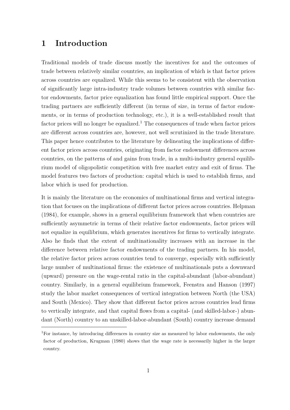## **1 Introduction**

Traditional models of trade discuss mostly the incentives for and the outcomes of trade between relatively similar countries, an implication of which is that factor prices across countries are equalized. While this seems to be consistent with the observation of significantly large intra-industry trade volumes between countries with similar factor endowments, factor price equalization has found little empirical support. Once the trading partners are sufficiently different (in terms of size, in terms of factor endowments, or in terms of production technology, etc.), it is a well-established result that factor prices will no longer be equalized.<sup>1</sup> The consequences of trade when factor prices are different across countries are, however, not well scrutinized in the trade literature. This paper hence contributes to the literature by delineating the implications of different factor prices across countries, originating from factor endowment differences across countries, on the patterns of and gains from trade, in a multi-industry general equilibrium model of oligopolistic competition with free market entry and exit of firms. The model features two factors of production: capital which is used to establish firms, and labor which is used for production.

It is mainly the literature on the economics of multinational firms and vertical integration that focuses on the implications of different factor prices across countries. Helpman (1984), for example, shows in a general equilibrium framework that when countries are sufficiently asymmetric in terms of their relative factor endowments, factor prices will not equalize in equilibrium, which generates incentives for firms to vertically integrate. Also he finds that the extent of multinationality increases with an increase in the difference between relative factor endowments of the trading partners. In his model, the relative factor prices across countries tend to converge, especially with sufficiently large number of multinational firms: the existence of multinationals puts a downward (upward) pressure on the wage-rental ratio in the capital-abundant (labor-abundant) country. Similarly, in a general equilibrium framework, Feenstra and Hanson (1997) study the labor market consequences of vertical integration between North (the USA) and South (Mexico). They show that different factor prices across countries lead firms to vertically integrate, and that capital flows from a capital- (and skilled-labor-) abundant (North) country to an unskilled-labor-abundant (South) country increase demand

<sup>&</sup>lt;sup>1</sup>For instance, by introducing differences in country size as measured by labor endowments, the only factor of production, Krugman (1980) shows that the wage rate is necessarily higher in the larger country.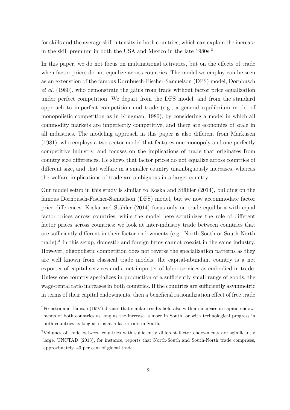for skills and the average skill intensity in both countries, which can explain the increase in the skill premium in both the USA and Mexico in the late  $1980s.<sup>2</sup>$ 

In this paper, we do not focus on multinational activities, but on the effects of trade when factor prices do not equalize across countries. The model we employ can be seen as an extenstion of the famous Dornbusch-Fischer-Samuelson (DFS) model, Dornbusch *et al.* (1980), who demonstrate the gains from trade without factor price equalization under perfect competition. We depart from the DFS model, and from the standard approach to imperfect competition and trade (e.g., a general equilibrium model of monopolistic competition as in Krugman, 1980), by considering a model in which all commodity markets are imperfectly competitive, and there are economies of scale in all industries. The modeling approach in this paper is also different from Markusen (1981), who employs a two-sector model that features one monopoly and one perfectly competitive industry, and focuses on the implications of trade that originates from country size differences. He shows that factor prices do not equalize across countries of different size, and that welfare in a smaller country unambiguously increases, whereas the welfare implications of trade are ambiguous in a larger country.

Our model setup in this study is similar to Koska and Stähler (2014), building on the famous Dornbusch-Fischer-Samuelson (DFS) model, but we now accommodate factor price differences. Koska and Stähler (2014) focus only on trade equilibria with equal factor prices across countries, while the model here scrutinizes the role of different factor prices across countries: we look at inter-industry trade between countries that are sufficiently different in their factor endowments (e.g., North-South or South-North trade).<sup>3</sup> In this setup, domestic and foreign firms cannot coexist in the same industry. However, oligopolistic competition does not reverse the specialization patterns as they are well known from classical trade models: the capital-abundant country is a net exporter of capital services and a net importer of labor services as embodied in trade. Unless one country specializes in production of a sufficiently small range of goods, the wage-rental ratio increases in both countries. If the countries are sufficiently asymmetric in terms of their capital endowments, then a beneficial rationalization effect of free trade

<sup>2</sup>Feenstra and Hanson (1997) discuss that similar results hold also with an increase in capital endowments of both countries as long as the increase is more in South, or with technological progress in both countries as long as it is at a faster rate in South.

<sup>&</sup>lt;sup>3</sup>Volumes of trade between countries with sufficiently different factor endowments are sginificantly large. UNCTAD (2013), for instance, reports that North-South and South-North trade comprises, approximately, 40 per cent of global trade.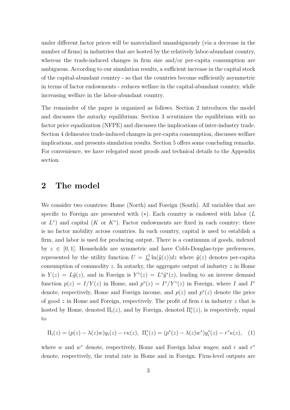under different factor prices will be materialized unambiguously (via a decrease in the number of firms) in industries that are hosted by the relatively labor-abundant country, whereas the trade-induced changes in firm size and/or per-capita consumption are ambiguous. According to our simulation results, a sufficient increase in the capital stock of the capital-abundant country - so that the countries become sufficiently asymmetric in terms of factor endowments - reduces welfare in the capital-abundant country, while increasing welfare in the labor-abundant country.

The remainder of the paper is organized as follows. Section 2 introduces the model and discusses the autarky equilibrium. Section 3 scrutinizes the equilibrium with no factor price equalization (NFPE) and discusses the implications of inter-industry trade. Section 4 delineates trade-induced changes in per-capita consumption, discusses welfare implications, and presents simulation results. Section 5 offers some concluding remarks. For convenience, we have relegated most proofs and technical details to the Appendix section.

## **2 The model**

We consider two countries: Home (North) and Foreign (South). All variables that are specific to Foreign are presented with (∗). Each country is endowed with labor (*L* or  $L^*$ ) and capital (*K* or  $K^*$ ). Factor endowments are fixed in each country: there is no factor mobility across countries. In each country, capital is used to establish a firm, and labor is used for producing output. There is a continuum of goods, indexed by  $z \in [0, 1]$ . Households are symmetric and have Cobb-Douglas-type preferences, represented by the utility function  $U = \int_0^1 \ln(\hat{y}(z)) dz$  where  $\hat{y}(z)$  denotes per-capita consumption of commodity *z*. In autarky, the aggregate output of industry *z* in Home is  $Y(z) = L\hat{y}(z)$ , and in Foreign is  $Y^*(z) = L^*\hat{y}^*(z)$ , leading to an inverse demand function  $p(z) = I/Y(z)$  in Home, and  $p^*(z) = I^*/Y^*(z)$  in Foreign, where *I* and  $I^*$ denote, respectively, Home and Foreign income, and  $p(z)$  and  $p^*(z)$  denote the price of good *z* in Home and Foreign, respectively. The profit of firm *i* in industry *z* that is hosted by Home, denoted  $\Pi_i(z)$ , and by Foreign, denoted  $\Pi_i^*(z)$ , is respectively, equal to

$$
\Pi_i(z) = (p(z) - \lambda(z)w)y_i(z) - r\kappa(z), \ \Pi_i^*(z) = (p^*(z) - \lambda(z)w^*)y_i^*(z) - r^*\kappa(z), \tag{1}
$$

where  $w$  and  $w^*$  denote, respectively, Home and Foreign labor wages; and  $r$  and  $r^*$ denote, respectively, the rental rate in Home and in Foreign. Firm-level outputs are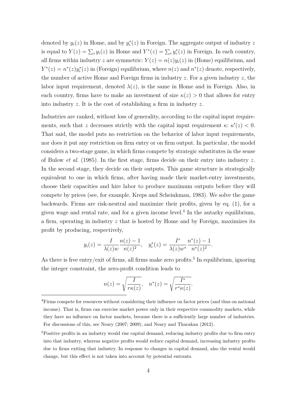denoted by  $y_i(z)$  in Home, and by  $y_i^*$  $i^*(z)$  in Foreign. The aggregate output of industry  $z$ is equal to  $Y(z) = \sum_i y_i(z)$  in Home and  $Y^*(z) = \sum_i y_i^*$  $i^*(z)$  in Foreign. In each country, all firms within industry *z* are symmetric:  $Y(z) = n(z)y_i(z)$  in (Home) equilibrium, and  $Y^*(z) = n^*(z)y_i^*$  $i^*(z)$  in (Foreign) equilibrium, where  $n(z)$  and  $n^*(z)$  denote, respectively, the number of active Home and Foreign firms in industry *z*. For a given industry *z*, the labor input requirement, denoted  $\lambda(z)$ , is the same in Home and in Foreign. Also, in each country, firms have to make an investment of size  $\kappa(z) > 0$  that allows for entry into industry *z*. It is the cost of establishing a firm in industry *z*.

Industries are ranked, without loss of generality, according to the capital input requirements, such that *z* decreases strictly with the capital input requirement  $\kappa$ :  $\kappa'(z) < 0$ . That said, the model puts no restriction on the behavior of labor input requirements, nor does it put any restriction on firm entry or on firm output. In particular, the model considers a two-stage game, in which firms compete by strategic substitutes in the sense of Bulow *et al.* (1985). In the first stage, firms decide on their entry into industry *z*. In the second stage, they decide on their outputs. This game structure is strategically equivalent to one in which firms, after having made their market-entry investments, choose their capacities and hire labor to produce maximum outputs before they will compete by prices (see, for example, Kreps and Scheinkman, 1983). We solve the game backwards. Firms are risk-neutral and maximize their profits, given by eq. (1), for a given wage and rental rate, and for a given income level.<sup>4</sup> In the autarky equilibrium, a firm, operating in industry *z* that is hosted by Home and by Foreign, maximizes its profit by producing, respectively,

$$
y_i(z) = \frac{I}{\lambda(z)w} \frac{n(z) - 1}{n(z)^2}, \quad y_i^*(z) = \frac{I^*}{\lambda(z)w^*} \frac{n^*(z) - 1}{n^*(z)^2}.
$$

As there is free entry/exit of firms, all firms make zero profits.<sup>5</sup> In equilibrium, ignoring the integer constraint, the zero-profit condition leads to

$$
n(z) = \sqrt{\frac{I}{r\kappa(z)}}, \quad n^*(z) = \sqrt{\frac{I^*}{r^*\kappa(z)}}.
$$

<sup>4</sup>Firms compete for resources without considering their influence on factor prices (and thus on national income). That is, firms can exercise market power only in their respective commodity markets, while they have no influence on factor markets, because there is a sufficiently large number of industries. For discussions of this, see Neary (2007; 2009), and Neary and Tharakan (2012).

 ${}^{5}P$ ositive profits in an industry would rise capital demand, reducing industry profits due to firm entry into that industry, whereas negative profits would reduce capital demand, increasing industry profits due to firms exiting that industry. In response to changes in capital demand, also the rental would change, but this effect is not taken into account by potential entrants.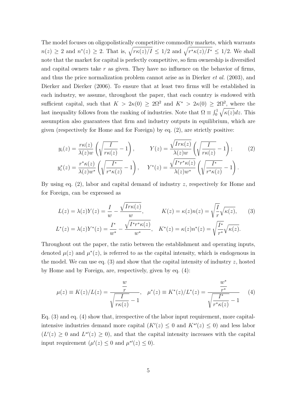The model focuses on oligopolistically competitive commodity markets, which warrants  $n(z) \geq 2$  and  $n^*(z) \geq 2$ . That is,  $\sqrt{r\kappa(z)/I} \leq 1/2$  and  $\sqrt{r^*\kappa(z)/I^*} \leq 1/2$ . We shall note that the market for capital is perfectly competitive, so firm ownership is diversified and capital owners take *r* as given. They have no influence on the behavior of firms, and thus the price normalization problem cannot arise as in Dierker *et al.* (2003), and Dierker and Dierker (2006). To ensure that at least two firms will be established in each industry, we assume, throughout the paper, that each country is endowed with sufficient capital, such that  $K > 2\kappa(0) \geq 2\Omega^2$  and  $K^* > 2\kappa(0) \geq 2\Omega^2$ , where the last inequality follows from the ranking of industries. Note that  $\Omega \equiv \int_0^1$  $\sqrt{\kappa(z)}dz$ . This assumption also guarantees that firm and industry outputs in equilibrium, which are given (respectively for Home and for Foreign) by eq. (2), are strictly positive:

$$
y_i(z) = \frac{r\kappa(z)}{\lambda(z)w} \left( \sqrt{\frac{I}{r\kappa(z)}} - 1 \right), \qquad Y(z) = \frac{\sqrt{Ir\kappa(z)}}{\lambda(z)w} \left( \sqrt{\frac{I}{r\kappa(z)}} - 1 \right); \qquad (2)
$$
  

$$
y_i^*(z) = \frac{r^*\kappa(z)}{\lambda(z)w^*} \left( \sqrt{\frac{I^*}{r^*\kappa(z)}} - 1 \right), \qquad Y^*(z) = \frac{\sqrt{I^*r^*\kappa(z)}}{\lambda(z)w^*} \left( \sqrt{\frac{I^*}{r^*\kappa(z)}} - 1 \right).
$$

By using eq. (2), labor and capital demand of industry *z*, respectively for Home and for Foreign, can be expressed as

$$
L(z) = \lambda(z)Y(z) = \frac{I}{w} - \frac{\sqrt{Ir\kappa(z)}}{w}, \qquad K(z) = \kappa(z)n(z) = \sqrt{\frac{I}{r}}\sqrt{\kappa(z)}, \qquad (3)
$$

$$
L^*(z) = \lambda(z)Y^*(z) = \frac{I^*}{w^*} - \frac{\sqrt{I^*r^*\kappa(z)}}{w^*}, \quad K^*(z) = \kappa(z)n^*(z) = \sqrt{\frac{I^*}{r^*}}\sqrt{\kappa(z)}.
$$

Throughout out the paper, the ratio between the establishment and operating inputs, denoted  $\mu(z)$  and  $\mu^*(z)$ , is referred to as the capital intensity, which is endogenous in the model. We can use eq. (3) and show that the capital intensity of industry *z*, hosted by Home and by Foreign, are, respectively, given by eq. (4):

$$
\mu(z) \equiv K(z)/L(z) = \frac{\frac{w}{r}}{\sqrt{\frac{I}{r\kappa(z)}} - 1}, \quad \mu^*(z) \equiv K^*(z)/L^*(z) = \frac{\frac{w^*}{r^*}}{\sqrt{\frac{I^*}{r^*\kappa(z)}} - 1} \tag{4}
$$

Eq. (3) and eq. (4) show that, irrespective of the labor input requirement, more capitalintensive industries demand more capital  $(K'(z) \leq 0$  and  $K^{*'}(z) \leq 0$ ) and less labor  $(L'(z) \geq 0$  and  $L^{*\prime}(z) \geq 0$ , and that the capital intensity increases with the capital input requirement  $(\mu'(z) \leq 0$  and  $\mu^{*'}(z) \leq 0$ .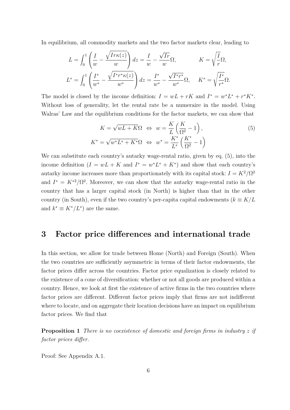In equilibrium, all commodity markets and the two factor markets clear, leading to

$$
L = \int_0^1 \left( \frac{I}{w} - \frac{\sqrt{Ir\kappa(z)}}{w} \right) dz = \frac{I}{w} - \frac{\sqrt{Ir}}{w} \Omega, \qquad K = \sqrt{\frac{I}{r}} \Omega,
$$
  

$$
L^* = \int_0^1 \left( \frac{I^*}{w^*} - \frac{\sqrt{I^*r^*\kappa(z)}}{w^*} \right) dz = \frac{I^*}{w^*} - \frac{\sqrt{I^*r^*}}{w^*} \Omega, \qquad K^* = \sqrt{\frac{I^*}{r^*}} \Omega.
$$

The model is closed by the income definition:  $I = wL + rK$  and  $I^* = w^*L^* + r^*K^*$ . Without loss of generality, let the rental rate be a numeraire in the model. Using Walras' Law and the equilibrium conditions for the factor markets, we can show that

$$
K = \sqrt{wL + K}\Omega \Leftrightarrow w = \frac{K}{L} \left(\frac{K}{\Omega^2} - 1\right),
$$
  
\n
$$
K^* = \sqrt{w^*L^* + K^*}\Omega \Leftrightarrow w^* = \frac{K^*}{L^*} \left(\frac{K^*}{\Omega^2} - 1\right)
$$
\n(5)

We can substitute each country's autarky wage-rental ratio, given by eq. (5), into the income definition  $(I = wL + K$  and  $I^* = w^*L^* + K^*$  and show that each country's autarky income increases more than proportionately with its capital stock:  $I = K^2/\Omega^2$ and  $I^* = K^{*2}/\Omega^2$ . Moreover, we can show that the autarky wage-rental ratio in the country that has a larger capital stock (in North) is higher than that in the other country (in South), even if the two country's per-capita capital endowments  $(k \equiv K/L)$ and  $k^* \equiv K^*/L^*$  are the same.

## **3 Factor price differences and international trade**

In this section, we allow for trade between Home (North) and Foreign (South). When the two countries are sufficiently asymmetric in terms of their factor endowments, the factor prices differ across the countries. Factor price equalization is closely related to the existence of a cone of diversification: whether or not all goods are produced within a country. Hence, we look at first the existence of active firms in the two countries where factor prices are different. Different factor prices imply that firms are not indifferent where to locate, and on aggregate their location decisions have an impact on equilibrium factor prices. We find that

**Proposition 1** *There is no coexistence of domestic and foreign firms in industry z if factor prices differ.*

Proof: See Appendix A.1.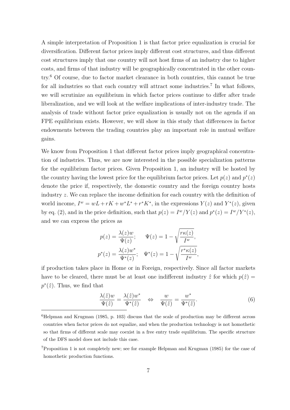A simple interpretation of Proposition 1 is that factor price equalization is crucial for diversification. Different factor prices imply different cost structures, and thus different cost structures imply that one country will not host firms of an industry due to higher costs, and firms of that industry will be geographically concentrated in the other country.<sup>6</sup> Of course, due to factor market clearance in both countries, this cannot be true for all industries so that each country will attract some industries.<sup>7</sup> In what follows, we will scrutinize an equilibrium in which factor prices continue to differ after trade liberalization, and we will look at the welfare implications of inter-industry trade. The analysis of trade without factor price equalization is usually not on the agenda if an FPE equilibrium exists. However, we will show in this study that differences in factor endowments between the trading countries play an important role in mutual welfare gains.

We know from Proposition 1 that different factor prices imply geographical concentration of industries. Thus, we are now interested in the possible specialization patterns for the equilibrium factor prices. Given Proposition 1, an industry will be hosted by the country having the lowest price for the equilibrium factor prices. Let  $p(z)$  and  $p^*(z)$ denote the price if, respectively, the domestic country and the foreign country hosts industry *z*. We can replace the income definition for each country with the definition of world income,  $I^w = wL + rK + w^*L^* + r^*K^*$ , in the expressions  $Y(z)$  and  $Y^*(z)$ , given by eq. (2), and in the price definition, such that  $p(z) = I^w/Y(z)$  and  $p^*(z) = I^w/Y^*(z)$ , and we can express the prices as

$$
p(z) = \frac{\lambda(z)w}{\Psi(z)}; \qquad \Psi(z) = 1 - \sqrt{\frac{r\kappa(z)}{I^w}},
$$

$$
p^*(z) = \frac{\lambda(z)w^*}{\Psi^*(z)}; \quad \Psi^*(z) = 1 - \sqrt{\frac{r^*\kappa(z)}{I^w}},
$$

if production takes place in Home or in Foreign, respectively. Since all factor markets have to be cleared, there must be at least one indifferent industry  $\hat{z}$  for which  $p(\hat{z}) =$  $p^*(\hat{z})$ . Thus, we find that

$$
\frac{\lambda(\hat{z})w}{\Psi(\hat{z})} = \frac{\lambda(\hat{z})w^*}{\Psi^*(\hat{z})} \quad \Leftrightarrow \quad \frac{w}{\Psi(\hat{z})} = \frac{w^*}{\Psi^*(\hat{z})}.\tag{6}
$$

 ${}^{6}$ Helpman and Krugman (1985, p. 103) discuss that the scale of production may be different across countries when factor prices do not equalize, and when the production technology is not homothetic so that firms of different scale may coexist in a free entry trade equilibrium. The specific structure of the DFS model does not include this case.

<sup>7</sup>Proposition 1 is not completely new; see for example Helpman and Krugman (1985) for the case of homothetic production functions.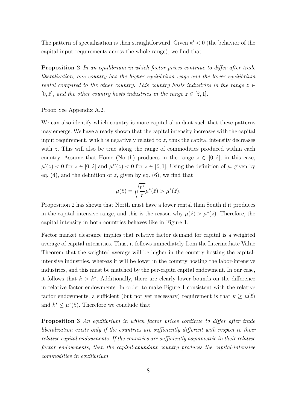The pattern of specialization is then straightforward. Given  $\kappa' < 0$  (the behavior of the capital input requirements across the whole range), we find that

**Proposition 2** *In an equilibrium in which factor prices continue to differ after trade liberalization, one country has the higher equilibrium wage and the lower equilibrium rental compared to the other country. This country hosts industries in the range*  $z \in$  $[0, \hat{z}]$ , and the other country hosts industries in the range  $z \in [\hat{z}, 1]$ .

Proof: See Appendix A.2.

We can also identify which country is more capital-abundant such that these patterns may emerge. We have already shown that the capital intensity increases with the capital input requirement, which is negatively related to *z*, thus the capital intensity decreases with *z*. This will also be true along the range of commodities produced within each country. Assume that Home (North) produces in the range  $z \in [0, \hat{z}]$ ; in this case,  $\mu'(z) < 0$  for  $z \in [0, \hat{z}]$  and  $\mu^{*'}(z) < 0$  for  $z \in [\hat{z}, 1]$ . Using the definition of  $\mu$ , given by eq. (4), and the definition of  $\hat{z}$ , given by eq. (6), we find that

$$
\mu(\hat{z}) = \sqrt{\frac{r^*}{r}} \mu^*(\hat{z}) > \mu^*(\hat{z}).
$$

Proposition 2 has shown that North must have a lower rental than South if it produces in the capital-intensive range, and this is the reason why  $\mu(\hat{z}) > \mu^*(\hat{z})$ . Therefore, the capital intensity in both countries behaves like in Figure 1.

Factor market clearance implies that relative factor demand for capital is a weighted average of capital intensities. Thus, it follows immediately from the Intermediate Value Theorem that the weighted average will be higher in the country hosting the capitalintensive industries, whereas it will be lower in the country hosting the labor-intensive industries, and this must be matched by the per-capita capital endowment. In our case, it follows that  $k > k^*$ . Additionally, there are clearly lower bounds on the difference in relative factor endowments. In order to make Figure 1 consistent with the relative factor endowments, a sufficient (but not yet necessary) requirement is that  $k \geq \mu(\hat{z})$ and  $k^* \leq \mu^*(\hat{z})$ . Therefore we conclude that

**Proposition 3** *An equilibrium in which factor prices continue to differ after trade liberalization exists only if the countries are sufficiently different with respect to their relative capital endowments. If the countries are sufficiently asymmetric in their relative factor endowments, then the capital-abundant country produces the capital-intensive commodities in equilibrium.*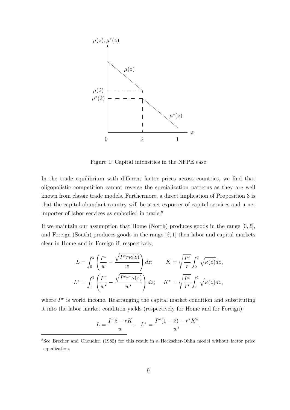

Figure 1: Capital intensities in the NFPE case

In the trade equilibrium with different factor prices across countries, we find that oligopolistic competition cannot reverse the specialization patterns as they are well known from classic trade models. Furthermore, a direct implication of Proposition 3 is that the capital-abundant country will be a net exporter of capital services and a net importer of labor services as embodied in trade.<sup>8</sup>

If we maintain our assumption that Home (North) produces goods in the range  $[0, \hat{z}]$ , and Foreign (South) produces goods in the range  $[\hat{z}, 1]$  then labor and capital markets clear in Home and in Foreign if, respectively,

$$
L = \int_0^{\hat{z}} \left( \frac{I^w}{w} - \frac{\sqrt{I^w r \kappa(z)}}{w} \right) dz; \qquad K = \sqrt{\frac{I^w}{r}} \int_0^{\hat{z}} \sqrt{\kappa(z)} dz,
$$
  

$$
L^* = \int_{\hat{z}}^1 \left( \frac{I^w}{w^*} - \frac{\sqrt{I^w r^* \kappa(z)}}{w^*} \right) dz; \qquad K^* = \sqrt{\frac{I^w}{r^*}} \int_{\hat{z}}^1 \sqrt{\kappa(z)} dz,
$$

where  $I^w$  is world income. Rearranging the capital market condition and substituting it into the labor market condition yields (respectively for Home and for Foreign):

$$
L = \frac{I^w \hat{z} - rK}{w}; \quad L^* = \frac{I^w (1 - \hat{z}) - r^* K^*}{w^*}.
$$

<sup>8</sup>See Brecher and Choudhri (1982) for this result in a Heckscher-Ohlin model without factor price equalization.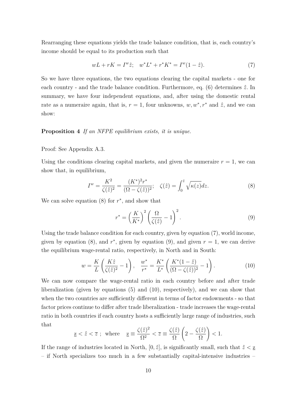Rearranging these equations yields the trade balance condition, that is, each country's income should be equal to its production such that

$$
wL + rK = I^{w\hat{z}}; \quad w^*L^* + r^*K^* = I^{w}(1 - \hat{z}).
$$
\n(7)

So we have three equations, the two equations clearing the capital markets - one for each country - and the trade balance condition. Furthermore, eq. (6) determines  $\hat{z}$ . In summary, we have four independent equations, and, after using the domestic rental rate as a numeraire again, that is,  $r = 1$ , four unknowns,  $w, w^*, r^*$  and  $\hat{z}$ , and we can show:

#### **Proposition 4** *If an NFPE equilibrium exists, it is unique.*

#### Proof: See Appendix A.3.

Using the conditions clearing capital markets, and given the numeraire  $r = 1$ , we can show that, in equilibrium,

$$
I^{w} = \frac{K^{2}}{\zeta(\hat{z})^{2}} = \frac{(K^{*})^{2}r^{*}}{(\Omega - \zeta(\hat{z}))^{2}}; \quad \zeta(\hat{z}) = \int_{0}^{\hat{z}} \sqrt{\kappa(z)} dz.
$$
 (8)

We can solve equation  $(8)$  for  $r^*$ , and show that

$$
r^* = \left(\frac{K}{K^*}\right)^2 \left(\frac{\Omega}{\zeta(\hat{z})} - 1\right)^2.
$$
\n(9)

Using the trade balance condition for each country, given by equation (7), world income, given by equation (8), and  $r^*$ , given by equation (9), and given  $r = 1$ , we can derive the equilibrium wage-rental ratio, respectively, in North and in South:

$$
w = \frac{K}{L} \left( \frac{K\hat{z}}{\zeta(\hat{z})^2} - 1 \right), \quad \frac{w^*}{r^*} = \frac{K^*}{L^*} \left( \frac{K^*(1-\hat{z})}{(\Omega - \zeta(\hat{z}))^2} - 1 \right). \tag{10}
$$

We can now compare the wage-rental ratio in each country before and after trade liberalization (given by equations (5) and (10), respectively), and we can show that when the two countries are sufficiently different in terms of factor endowments - so that factor prices continue to differ after trade liberalization - trade increases the wage-rental ratio in both countries if each country hosts a sufficiently large range of industries, such that

$$
\underline{z} < \hat{z} < \overline{z}
$$
; where  $\underline{z} \equiv \frac{\zeta(\hat{z})^2}{\Omega^2} < \overline{z} \equiv \frac{\zeta(\hat{z})}{\Omega} \left( 2 - \frac{\zeta(\hat{z})}{\Omega} \right) < 1.$ 

If the range of industries located in North,  $[0, \hat{z}]$ , is significantly small, such that  $\hat{z} < \underline{z}$ – if North specializes too much in a few substantially capital-intensive industries –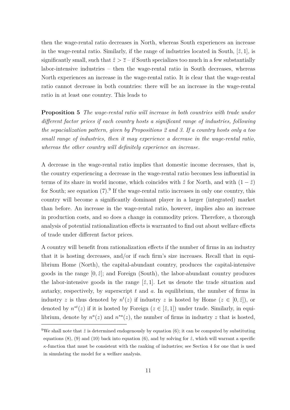then the wage-rental ratio decreases in North, whereas South experiences an increase in the wage-rental ratio. Similarly, if the range of industries located in South,  $[\hat{z}, 1]$ , is significantly small, such that  $\hat{z} > \overline{z}$  – if South specializes too much in a few substantially labor-intensive industries – then the wage-rental ratio in South decreases, whereas North experiences an increase in the wage-rental ratio. It is clear that the wage-rental ratio cannot decrease in both countries: there will be an increase in the wage-rental ratio in at least one country. This leads to

**Proposition 5** *The wage-rental ratio will increase in both countries with trade under different factor prices if each country hosts a significant range of industries, following the sepacialization pattern, given by Propositions 2 and 3. If a country hosts only a too small range of industries, then it may experience a decrease in the wage-rental ratio, whereas the other country will definitely experience an increase.*

A decrease in the wage-rental ratio implies that domestic income decreases, that is, the country experiencing a decrease in the wage-rental ratio becomes less influential in terms of its share in world income, which coincides with  $\hat{z}$  for North, and with  $(1 - \hat{z})$ for South; see equation  $(7)$ . If the wage-rental ratio increases in only one country, this country will become a significantly dominant player in a larger (integrated) market than before. An increase in the wage-rental ratio, however, implies also an increase in production costs, and so does a change in commodity prices. Therefore, a thorough analysis of potential rationalization effects is warranted to find out about welfare effects of trade under different factor prices.

A country will benefit from rationalization effects if the number of firms in an industry that it is hosting decreases, and/or if each firm's size increases. Recall that in equilibrium Home (North), the capital-abundant country, produces the capital-intensive goods in the range  $[0, \hat{z}]$ ; and Foreign (South), the labor-abundant country produces the labor-intensive goods in the range  $[\hat{z}, 1]$ . Let us denote the trade situation and autarky, respectively, by superscript *t* and *a*. In equilibrium, the number of firms in industry *z* is thus denoted by  $n^t(z)$  if industry *z* is hosted by Home  $(z \in [0, \hat{z}])$ , or denoted by  $n^{*t}(z)$  if it is hosted by Foreign  $(z \in [\hat{z}, 1])$  under trade. Similarly, in equilibrium, denote by  $n^a(z)$  and  $n^{*a}(z)$ , the number of firms in industry *z* that is hosted,

<sup>&</sup>lt;sup>9</sup>We shall note that  $\hat{z}$  is determined endogenously by equation (6); it can be computed by substituting equations  $(8)$ ,  $(9)$  and  $(10)$  back into equation  $(6)$ , and by solving for  $\hat{z}$ , which will warrant a specific *κ*-function that must be consistent with the ranking of industries; see Section 4 for one that is used in simulating the model for a welfare analysis.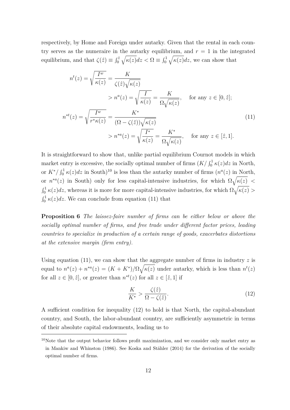respectively, by Home and Foreign under autarky. Given that the rental in each country serves as the numeraire in the autarky equilibrium, and  $r = 1$  in the integrated equilibrium, and that  $\zeta(\hat{z}) \equiv \int_0^{\hat{z}}$  $\sqrt{\kappa(z)}dz < \Omega \equiv \int_0^1$  $\sqrt{\kappa(z)}dz$ , we can show that

$$
n^{t}(z) = \sqrt{\frac{I^{w}}{\kappa(z)}} = \frac{K}{\zeta(\hat{z})\sqrt{\kappa(z)}}
$$
  
\n
$$
> n^{a}(z) = \sqrt{\frac{I}{\kappa(z)}} = \frac{K}{\Omega\sqrt{\kappa(z)}}, \quad \text{for any } z \in [0, \hat{z}];
$$
  
\n
$$
n^{*t}(z) = \sqrt{\frac{I^{w}}{r^{*}\kappa(z)}} = \frac{K^{*}}{(\Omega - \zeta(\hat{z}))\sqrt{\kappa(z)}}
$$
  
\n
$$
> n^{*a}(z) = \sqrt{\frac{I^{*}}{\kappa(z)}} = \frac{K^{*}}{\Omega\sqrt{\kappa(z)}}, \quad \text{for any } z \in [\hat{z}, 1].
$$
\n
$$
(11)
$$

It is straightforward to show that, unlike partial equilibrium Cournot models in which market entry is excessive, the socially optimal number of firms  $(K/\int_0^1 \kappa(z)dz$  in North, or  $K^*/\int_0^1 \kappa(z)dz$  in South)<sup>10</sup> is less than the autarky number of firms  $(n^a(z))$  in North, or  $n^{*a}(z)$  in South) only for less capital-intensive industries, for which  $\Omega \sqrt{\kappa(z)}$  <  $\int_0^1 \kappa(z) dz$ , whereas it is more for more capital-intensive industries, for which  $\Omega \sqrt{\kappa(z)} > 0$  $\int_0^1 \kappa(z) dz$ . We can conclude from equation (11) that

**Proposition 6** *The laissez-faire number of firms can be either below or above the socially optimal number of firms, and free trade under different factor prices, leading countries to specialize in production of a certain range of goods, exacerbates distortions at the extensive margin (firm entry).*

Using equation (11), we can show that the aggregate number of firms in industry *z* is equal to  $n^a(z) + n^{*a}(z) = (K + K^*)/\Omega \sqrt{\kappa(z)}$  under autarky, which is less than  $n^t(z)$ for all  $z \in [0, \hat{z}]$ , or greater than  $n^{*t}(z)$  for all  $z \in [\hat{z}, 1]$  if

$$
\frac{K}{K^*} > \frac{\zeta(\hat{z})}{\Omega - \zeta(\hat{z})}.\tag{12}
$$

A sufficient condition for inequality (12) to hold is that North, the capital-abundant country, and South, the labor-abundant country, are sufficiently asymmetric in terms of their absolute capital endowments, leading us to

 $10$ Note that the output behavior follows profit maximization, and we consider only market entry as in Mankiw and Whinston (1986). See Koska and Stähler (2014) for the derivation of the socially optimal number of firms.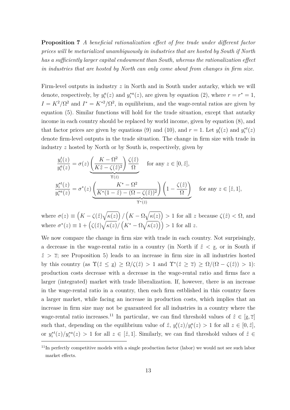**Proposition 7** *A beneficial rationalization effect of free trade under different factor prices will be metarialized unambiguously in industries that are hosted by South if North has a sufficiently larger capital endowment than South, whereas the rationalization effect in industries that are hosted by North can only come about from changes in firm size.*

Firm-level outputs in industry *z* in North and in South under autarky, which we will denote, respectively, by  $y_i^a(z)$  and  $y_i^{*a}(z)$ , are given by equation (2), where  $r = r^* = 1$ ,  $I = K^2/\Omega^2$  and  $I^* = K^{*2}/\Omega^2$ , in equilibrium, and the wage-rental ratios are given by equation (5). Similar functions will hold for the trade situation, except that autarky income in each country should be replaced by world income, given by equation (8), and that factor prices are given by equations (9) and (10), and  $r = 1$ . Let  $y_i^t(z)$  and  $y_i^{*t}(z)$ denote firm-level outputs in the trade situation. The change in firm size with trade in industry *z* hosted by North or by South is, respectively, given by

$$
\frac{y_i^t(z)}{y_i^a(z)} = \sigma(z) \underbrace{\left(\frac{K - \Omega^2}{K\hat{z} - \zeta(\hat{z})^2}\right) \frac{\zeta(\hat{z})}{\Omega}}_{\Upsilon(\hat{z})} \quad \text{for any } z \in [0, \hat{z}],
$$
\n
$$
\frac{y_i^{*t}(z)}{y_i^{*a}(z)} = \sigma^*(z) \underbrace{\left(\frac{K^* - \Omega^2}{K^*(1 - \hat{z}) - (\Omega - \zeta(\hat{z}))^2}\right) \left(1 - \frac{\zeta(\hat{z})}{\Omega}\right)}_{\Upsilon^*(\hat{z})} \quad \text{for any } z \in [\hat{z}, 1],
$$

where  $\sigma(z) \equiv (K - \zeta(\hat{z})\sqrt{\kappa(z)}) / (K - \Omega\sqrt{\kappa(z)}) > 1$  for all *z* because  $\zeta(\hat{z}) < \Omega$ , and where  $\sigma^*(z) \equiv 1 + \left(\zeta(\hat{z})\sqrt{\kappa(z)}/\left(K^* - \Omega\sqrt{\kappa(z)}\right)\right) > 1$  for all z.

We now compare the change in firm size with trade in each country. Not surprisingly, a decrease in the wage-rental ratio in a country (in North if  $\hat{z} < z$ , or in South if  $\hat{z} > \overline{z}$ ; see Proposition 5) leads to an increase in firm size in all industries hosted by this country (as  $\Upsilon(\hat{z} \leq \underline{z}) \geq \Omega/\zeta(\hat{z}) > 1$  and  $\Upsilon^*(\hat{z} \geq \overline{z}) \geq \Omega/(\Omega - \zeta(\hat{z})) > 1$ : production costs decrease with a decrease in the wage-rental ratio and firms face a larger (integrated) market with trade liberalization. If, however, there is an increase in the wage-rental ratio in a country, then each firm estblished in this country faces a larger market, while facing an increase in production costs, which implies that an increase in firm size may not be guaranteed for all industries in a country where the wage-rental ratio increases.<sup>11</sup> In particular, we can find threshold values of  $\hat{z} \in [\underline{z}, \overline{z}]$ such that, depending on the equilibrium value of  $\hat{z}$ ,  $y_i^t(z)/y_i^a(z) > 1$  for all  $z \in [0, \hat{z}]$ , or  $y_i^{*t}(z)/y_i^{*a}(z) > 1$  for all  $z \in [\hat{z}, 1]$ . Similarly, we can find threshold values of  $\hat{z} \in$ 

 $11$ In perfectly competitive models with a single production factor (labor) we would not see such labor market effects.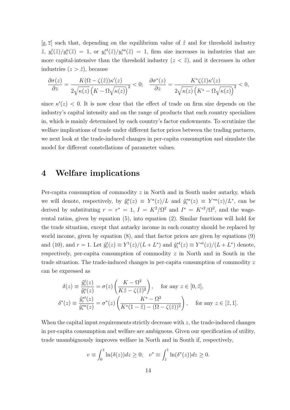$[\underline{z}, \overline{z}]$  such that, depending on the equilibrium value of  $\hat{z}$  and for threshold industry  $\tilde{z}$ ,  $y_i^t(\tilde{z})/y_i^a(\tilde{z}) = 1$ , or  $y_i^{*t}(\tilde{z})/y_i^{*a}(\tilde{z}) = 1$ , firm size increases in industries that are more capital-intensive than the threshold industry  $(z < \tilde{z})$ , and it decreases in other industries  $(z > \tilde{z})$ , because

$$
\frac{\partial \sigma(z)}{\partial z} = \frac{K(\Omega - \zeta(\hat{z}))\kappa'(z)}{2\sqrt{\kappa(z)}\left(K - \Omega\sqrt{\kappa(z)}\right)^2} < 0; \quad \frac{\partial \sigma^*(z)}{\partial z} = \frac{K^*\zeta(\hat{z})\kappa'(z)}{2\sqrt{\kappa(z)}\left(K^* - \Omega\sqrt{\kappa(z)}\right)^2} < 0,
$$

since  $\kappa'(z)$  < 0. It is now clear that the effect of trade on firm size depends on the industry's capital intensity and on the range of products that each country specializes in, which is mainly determined by each country's factor endowments. To scrutinize the welfare implications of trade under different factor prices between the trading partners, we next look at the trade-induced changes in per-capita consumption and simulate the model for different constellations of parameter values.

## **4 Welfare implications**

Per-capita consumption of commodity *z* in North and in South under autarky, which we will denote, respectively, by  $\hat{y}_i^a(z) \equiv Y^a(z)/L$  and  $\hat{y}_i^{*a}(z) \equiv Y^{*a}(z)/L^*$ , can be derived by substituting  $r = r^* = 1$ ,  $I = K^2/\Omega^2$  and  $I^* = K^{*2}/\Omega^2$ , and the wagerental ratios, given by equation (5), into equation (2). Similar functions will hold for the trade situation, except that autarky income in each country should be replaced by world income, given by equation (8), and that factor prices are given by equations (9) and (10), and  $r = 1$ . Let  $\hat{y}_i^t(z) \equiv Y^t(z)/(L + L^*)$  and  $\hat{y}_i^{*t}(z) \equiv Y^{*t}(z)/(L + L^*)$  denote, respectively, per-capita consumption of commodity *z* in North and in South in the trade situation. The trade-induced changes in per-capita consumption of commodity *z* can be expressed as

$$
\delta(z) \equiv \frac{\hat{y}_i^t(z)}{\hat{y}_i^a(z)} = \sigma(z) \left( \frac{K - \Omega^2}{K\hat{z} - \zeta(\hat{z})^2} \right), \quad \text{for any } z \in [0, \hat{z}],
$$
  

$$
\delta^*(z) \equiv \frac{\hat{y}_i^{*t}(z)}{\hat{y}_i^{*a}(z)} = \sigma^*(z) \left( \frac{K^* - \Omega^2}{K^*(1 - \hat{z}) - (\Omega - \zeta(\hat{z}))^2} \right), \quad \text{for any } z \in [\hat{z}, 1].
$$

When the capital input requirements strictly decrease with *z*, the trade-induced changes in per-capita consumption and welfare are ambiguous. Given our specification of utility, trade unambiguously improves welfare in North and in South if, respectively,

$$
v \equiv \int_0^{\hat{z}} \ln(\delta(z)) dz \ge 0; \quad v^* \equiv \int_{\hat{z}}^1 \ln(\delta^*(z)) dz \ge 0.
$$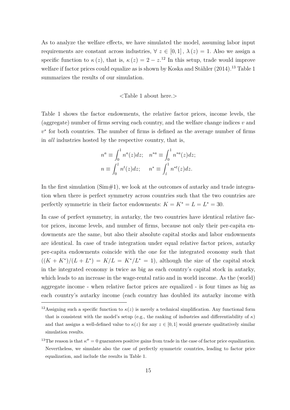As to analyze the welfare effects, we have simulated the model, assuming labor input requirements are constant across industries,  $\forall z \in [0,1]$ ,  $\lambda(z) = 1$ . Also we assign a specific function to  $\kappa(z)$ , that is,  $\kappa(z) = 2 - z$ .<sup>12</sup> In this setup, trade would improve welfare if factor prices could equalize as is shown by Koska and Stähler (2014).<sup>13</sup> Table 1 summarizes the results of our simulation.

#### *<*Table 1 about here.*>*

Table 1 shows the factor endowments, the relative factor prices, income levels, the (aggregate) number of firms serving each country, and the welfare change indices *v* and *v*<sup>∗</sup> for both countries. The number of firms is defined as the average number of firms in *all* industries hosted by the respective country, that is,

$$
n^{a} \equiv \int_{0}^{1} n^{a}(z)dz; \quad n^{*a} \equiv \int_{0}^{1} n^{*a}(z)dz; n \equiv \int_{0}^{\hat{z}} n^{t}(z)dz; \quad n^{*} \equiv \int_{\hat{z}}^{1} n^{*t}(z)dz.
$$

In the first simulation  $(Sim#1)$ , we look at the outcomes of autarky and trade integration when there is perfect symmetry across countries such that the two countries are perfectly symmetric in their factor endowments:  $K = K^* = L = L^* = 30$ .

In case of perfect symmetry, in autarky, the two countries have identical relative factor prices, income levels, and number of firms, because not only their per-capita endowments are the same, but also their absolute capital stocks and labor endowments are identical. In case of trade integration under equal relative factor prices, autarky per-capita endowments coincide with the one for the integrated economy such that  $((K + K^*)/(L + L^*) = K/L = K^*/L^* = 1)$ , although the size of the capital stock in the integrated economy is twice as big as each country's capital stock in autarky, which leads to an increase in the wage-rental ratio and in world income. As the (world) aggregate income - when relative factor prices are equalized - is four times as big as each country's autarky income (each country has doubled its autarky income with

<sup>&</sup>lt;sup>12</sup>Assigning such a specific function to  $\kappa(z)$  is merely a technical simplification. Any functional form that is consistent with the model's setup (e.g., the ranking of industries and differentiability of  $\kappa$ ) and that assigns a well-defined value to  $\kappa(z)$  for any  $z \in [0,1]$  would generate qualitatively similar simulation results.

<sup>&</sup>lt;sup>13</sup>The reason is that  $\kappa'' = 0$  guarantees positive gains from trade in the case of factor price equalization. Nevertheless, we simulate also the case of perfectly symmetric countries, leading to factor price equalization, and include the results in Table 1.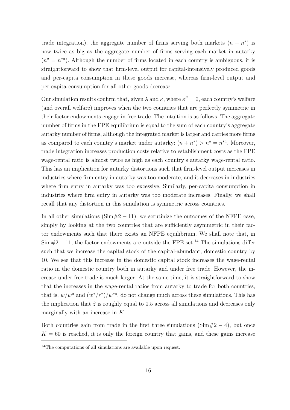trade integration), the aggregate number of firms serving both markets  $(n + n^*)$  is now twice as big as the aggregate number of firms serving each market in autarky  $(n^a = n^{*a})$ . Although the number of firms located in each country is ambiguous, it is straightforward to show that firm-level output for capital-intensively produced goods and per-capita consumption in these goods increase, whereas firm-level output and per-capita consumption for all other goods decrease.

Our simulation results confirm that, given  $\lambda$  and  $\kappa$ , where  $\kappa'' = 0$ , each country's welfare (and overall welfare) improves when the two countries that are perfectly symmetric in their factor endowments engage in free trade. The intuition is as follows. The aggregate number of firms in the FPE equilibrium is equal to the sum of each country's aggregate autarky number of firms, although the integrated market is larger and carries more firms as compared to each country's market under autarky:  $(n + n^*) > n^a = n^{*a}$ . Moreover, trade integration increases production costs relative to establishment costs as the FPE wage-rental ratio is almost twice as high as each country's autarky wage-rental ratio. This has an implication for autarky distortions such that firm-level output increases in industries where firm entry in autarky was too moderate, and it decreases in industries where firm entry in autarky was too excessive. Similarly, per-capita consumption in industries where firm entry in autarky was too moderate increases. Finally, we shall recall that any distortion in this simulation is symmetric across countries.

In all other simulations (Sim#2 − 11), we scrutinize the outcomes of the NFPE case, simply by looking at the two countries that are sufficiently asymmetric in their factor endowments such that there exists an NFPE equilibrium. We shall note that, in  $\text{Sim} \#2 - 11$ , the factor endowments are outside the FPE set.<sup>14</sup> The simulations differ such that we increase the capital stock of the capital-abundant, domestic country by 10. We see that this increase in the domestic capital stock increases the wage-rental ratio in the domestic country both in autarky and under free trade. However, the increase under free trade is much larger. At the same time, it is straightforward to show that the increases in the wage-rental ratios from autarky to trade for both countries, that is,  $w/w^a$  and  $(w^*/r^*)/w^{*a}$ , do not change much across these simulations. This has the implication that  $\hat{z}$  is roughly equal to 0.5 across all simulations and decreases only marginally with an increase in *K*.

Both countries gain from trade in the first three simulations  $(Sim#2-4)$ , but once  $K = 60$  is reached, it is only the foreign country that gains, and these gains increase

 $14$ The computations of all simulations are available upon request.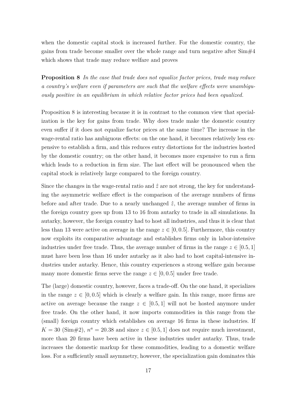when the domestic capital stock is increased further. For the domestic country, the gains from trade become smaller over the whole range and turn negative after  $\text{Sim} \#4$ which shows that trade may reduce welfare and proves

**Proposition 8** *In the case that trade does not equalize factor prices, trade may reduce a country's welfare even if parameters are such that the welfare effects were unambiguously positive in an equilibrium in which relative factor prices had been equalized.*

Proposition 8 is interesting because it is in contrast to the common view that specialization is the key for gains from trade. Why does trade make the domestic country even suffer if it does not equalize factor prices at the same time? The increase in the wage-rental ratio has ambiguous effects: on the one hand, it becomes relatively less expensive to establish a firm, and this reduces entry distortions for the industries hosted by the domestic country; on the other hand, it becomes more expensive to run a firm which leads to a reduction in firm size. The last effect will be pronounced when the capital stock is relatively large compared to the foreign country.

Since the changes in the wage-rental ratio and  $\hat{z}$  are not strong, the key for understanding the asymmetric welfare effect is the comparison of the average numbers of firms before and after trade. Due to a nearly unchanged  $\hat{z}$ , the average number of firms in the foreign country goes up from 13 to 16 from autarky to trade in all simulations. In autarky, however, the foreign country had to host all industries, and thus it is clear that less than 13 were active on average in the range  $z \in [0, 0.5]$ . Furthermore, this country now exploits its comparative advantage and establishes firms only in labor-intensive industries under free trade. Thus, the average number of firms in the range  $z \in [0.5, 1]$ must have been less than 16 under autarky as it also had to host capital-intensive industries under autarky. Hence, this country experiences a strong welfare gain because many more domestic firms serve the range  $z \in [0, 0.5]$  under free trade.

The (large) domestic country, however, faces a trade-off. On the one hand, it specializes in the range  $z \in [0, 0.5]$  which is clearly a welfare gain. In this range, more firms are active on average because the range  $z \in [0.5, 1]$  will not be hosted anymore under free trade. On the other hand, it now imports commodities in this range from the (small) foreign country which establishes on average 16 firms in these industries. If  $K = 30$  (Sim#2),  $n^a = 20.38$  and since  $z \in [0.5, 1]$  does not require much investment, more than 20 firms have been active in these industries under autarky. Thus, trade increases the domestic markup for these commodities, leading to a domestic welfare loss. For a sufficiently small asymmetry, however, the specialization gain dominates this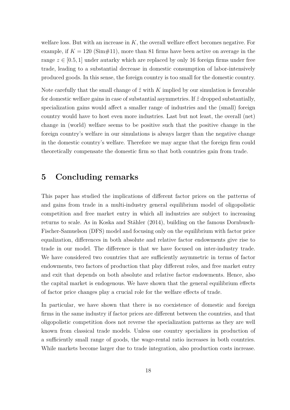welfare loss. But with an increase in *K*, the overall welfare effect becomes negative. For example, if  $K = 120$  (Sim#11), more than 81 firms have been active on average in the range  $z \in [0.5, 1]$  under autarky which are replaced by only 16 foreign firms under free trade, leading to a substantial decrease in domestic consumption of labor-intensively produced goods. In this sense, the foreign country is too small for the domestic country.

Note carefully that the small change of  $\hat{z}$  with  $K$  implied by our simulation is favorable for domestic welfare gains in case of substantial asymmetries. If ˆ*z* dropped substantially, specialization gains would affect a smaller range of industries and the (small) foreign country would have to host even more industries. Last but not least, the overall (net) change in (world) welfare seems to be positive such that the positive change in the foreign country's welfare in our simulations is always larger than the negative change in the domestic country's welfare. Therefore we may argue that the foreign firm could theoretically compensate the domestic firm so that both countries gain from trade.

## **5 Concluding remarks**

This paper has studied the implications of different factor prices on the patterns of and gains from trade in a multi-industry general equilibrium model of oligopolistic competition and free market entry in which all industries are subject to increasing returns to scale. As in Koska and Stähler (2014), building on the famous Dornbusch-Fischer-Samuelson (DFS) model and focusing only on the equilibrium with factor price equalization, differences in both absolute and relative factor endowments give rise to trade in our model. The difference is that we have focused on inter-industry trade. We have considered two countries that are sufficiently asymmetric in terms of factor endowments, two factors of production that play different roles, and free market entry and exit that depends on both absolute and relative factor endowments. Hence, also the capital market is endogenous. We have shown that the general equilibrium effects of factor price changes play a crucial role for the welfare effects of trade.

In particular, we have shown that there is no coexistence of domestic and foreign firms in the same industry if factor prices are different between the countries, and that oligopolistic competition does not reverse the specialization patterns as they are well known from classical trade models. Unless one country specializes in production of a sufficiently small range of goods, the wage-rental ratio increases in both countries. While markets become larger due to trade integration, also production costs increase.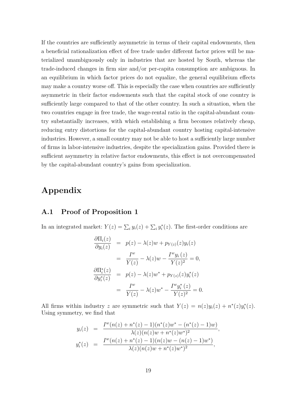If the countries are sufficiently asymmetric in terms of their capital endowments, then a beneficial rationalization effect of free trade under different factor prices will be materialized unambiguously only in industries that are hosted by South, whereas the trade-induced changes in firm size and/or per-capita consumption are ambiguous. In an equilibrium in which factor prices do not equalize, the general equilibrium effects may make a country worse off. This is especially the case when countries are sufficiently asymmetric in their factor endowments such that the capital stock of one country is sufficiently large compared to that of the other country. In such a situation, when the two countries engage in free trade, the wage-rental ratio in the capital-abundant country substantially increases, with which establishing a firm becomes relatively cheap, reducing entry distortions for the capital-abundant country hosting capital-intensive industries. However, a small country may not be able to host a sufficiently large number of firms in labor-intensive industries, despite the specialization gains. Provided there is sufficient asymmetry in relative factor endowments, this effect is not overcompensated by the capital-abundant country's gains from specialization.

## **Appendix**

#### **A.1 Proof of Proposition 1**

In an integrated market:  $Y(z) = \sum_i y_i(z) + \sum_i y_i^*$  $i^*(z)$ . The first-order conditions are

$$
\frac{\partial \Pi_i(z)}{\partial y_i(z)} = p(z) - \lambda(z)w + p_{Y(z)}(z)y_i(z)
$$

$$
= \frac{I^w}{Y(z)} - \lambda(z)w - \frac{I^w y_i(z)}{Y(z)^2} = 0,
$$

$$
\frac{\partial \Pi_i^*(z)}{\partial y_i^*(z)} = p(z) - \lambda(z)w^* + p_{Y(z)}(z)y_i^*(z)
$$

$$
= \frac{I^w}{Y(z)} - \lambda(z)w^* - \frac{I^w y_i^*(z)}{Y(z)^2} = 0.
$$

All firms within industry *z* are symmetric such that  $Y(z) = n(z)y_i(z) + n^*(z)y_i^*$ *i* (*z*). Using symmetry, we find that

$$
y_i(z) = \frac{I^w(n(z) + n^*(z) - 1)(n^*(z)w^* - (n^*(z) - 1)w)}{\lambda(z)(n(z)w + n^*(z)w^*)^2},
$$
  

$$
y_i^*(z) = \frac{I^w(n(z) + n^*(z) - 1)(n(z)w - (n(z) - 1)w^*)}{\lambda(z)(n(z)w + n^*(z)w^*)^2},
$$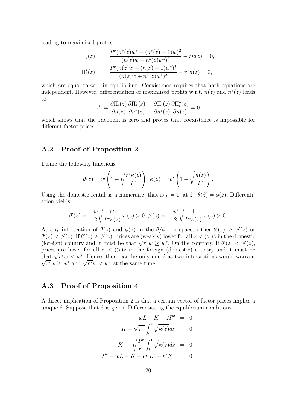leading to maximized profits

$$
\Pi_i(z) = \frac{I^w(n^*(z)w^* - (n^*(z) - 1)w)^2}{(n(z)w + n^*(z)w^*)^2} - r\kappa(z) = 0,
$$
  

$$
\Pi_i^*(z) = \frac{I^w(n(z)w - (n(z) - 1)w^*)^2}{(n(z)w + n^*(z)w^*)^2} - r^*\kappa(z) = 0,
$$

which are equal to zero in equilibrium. Coexistence requires that both equations are independent. However, differentiation of maximized profits w.r.t.  $n(z)$  and  $n^*(z)$  leads to

$$
|J| = \frac{\partial \Pi_i(z)}{\partial n(z)} \frac{\partial \Pi_i^*(z)}{\partial n^*(z)} - \frac{\partial \Pi_i(z)}{\partial n^*(z)} \frac{\partial \Pi_i^*(z)}{\partial n(z)} = 0,
$$

which shows that the Jacobian is zero and proves that coexistence is impossible for different factor prices.

#### **A.2 Proof of Proposition 2**

Define the following functions

$$
\theta(z) = w\left(1 - \sqrt{\frac{r^*\kappa(z)}{I^w}}\right), \phi(z) = w^*\left(1 - \sqrt{\frac{\kappa(z)}{I^w}}\right).
$$

Using the domestic rental as a numeraire, that is  $r = 1$ , at  $\hat{z} : \theta(\hat{z}) = \phi(\hat{z})$ . Differentiation yields

$$
\theta'(z) = -\frac{w}{2} \sqrt{\frac{r^*}{I^w \kappa(z)}} \kappa'(z) > 0, \phi'(z) = -\frac{w^*}{2} \sqrt{\frac{1}{I^w \kappa(z)}} \kappa'(z) > 0.
$$

At any intersection of  $\theta(z)$  and  $\phi(z)$  in the  $\theta/\phi - z$ –space, either  $\theta'(z) \geq \phi'(z)$  or  $\theta'(z) < \phi'(z)$ . If  $\theta'(z) \ge \phi'(z)$ , prices are (weakly) lower for all  $z < (>)\hat{z}$  in the domestic (foreign) country and it must be that  $\sqrt{r^*}w \geq w^*$ . On the contrary, if  $\theta'(z) < \phi'(z)$ , prices are lower for all  $z < (>)\hat{z}$  in the foreign (domestic) country and it must be that  $\sqrt{r^*}w < w^*$ . Hence, there can be only one  $\hat{z}$  as two intersections would warrant  $\sqrt{r^*}w \geq w^*$  and  $\sqrt{r^*}w < w^*$  at the same time.

## **A.3 Proof of Proposition 4**

A direct implication of Proposition 2 is that a certain vector of factor prices implies a unique  $\hat{z}$ . Suppose that  $\hat{z}$  is given. Differentiating the equilibrium conditions

$$
wL + K - \hat{z}I^{w} = 0,
$$
  
\n
$$
K - \sqrt{I^{w}} \int_{0}^{\hat{z}} \sqrt{\kappa(z)} dz = 0,
$$
  
\n
$$
K^{*} - \sqrt{\frac{I^{w}}{r^{*}}} \int_{\hat{z}}^{1} \sqrt{\kappa(z)} dz = 0,
$$
  
\n
$$
I^{w} - wL - K - w^{*}L^{*} - r^{*}K^{*} = 0
$$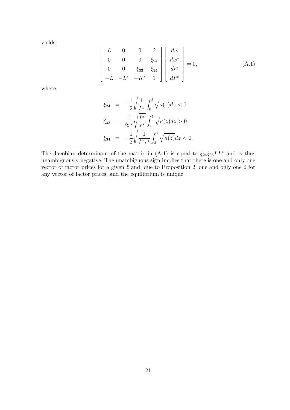yields

$$
\begin{bmatrix} L & 0 & 0 & \hat{z} \\ 0 & 0 & 0 & \xi_{24} \\ 0 & 0 & \xi_{33} & \xi_{34} \\ -L & -L^* & -K^* & 1 \end{bmatrix} \begin{bmatrix} dw \\ dw^* \\ dr^* \\ dI^w \end{bmatrix} = 0, \qquad (A.1)
$$

where

$$
\xi_{24} = -\frac{1}{2} \sqrt{\frac{1}{I^w}} \int_0^{\hat{z}} \sqrt{\kappa(z)} dz < 0
$$
  

$$
\xi_{33} = \frac{1}{2r^*} \sqrt{\frac{I^w}{r^*}} \int_{\hat{z}}^1 \sqrt{\kappa(z)} dz > 0
$$
  

$$
\xi_{34} = -\frac{1}{2} \sqrt{\frac{1}{I^w r^*}} \int_{\hat{z}}^1 \sqrt{\kappa(z)} dz < 0.
$$

The Jacobian determinant of the matrix in (A.1) is equal to *ξ*24*ξ*33*LL*<sup>∗</sup> and is thus unambiguously negative. The unambiguous sign implies that there is one and only one vector of factor prices for a given  $\hat{z}$  and, due to Proposition 2, one and only one  $\hat{z}$  for any vector of factor prices, and the equilibrium is unique.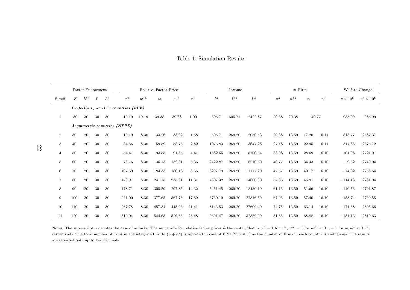### Table 1: Simulation Results

|                | Factor Endowments                   |       |    |       |        | Relative Factor Prices |        |        |       |         | Income       |          |       | $#$ Firms |                  |       |                 | Welfare Change    |  |
|----------------|-------------------------------------|-------|----|-------|--------|------------------------|--------|--------|-------|---------|--------------|----------|-------|-----------|------------------|-------|-----------------|-------------------|--|
| Sim#           | Κ                                   | $K^*$ | L  | $L^*$ | $w^a$  | $w^{*a}$               | w      | $w^*$  | $r^*$ | $I^a$   | $I^{\ast a}$ | $I^w$    | $n^a$ | $n^{*a}$  | $\boldsymbol{n}$ | $n^*$ | $v \times 10^8$ | $v^* \times 10^8$ |  |
|                | Perfectly symmetric countries (FPE) |       |    |       |        |                        |        |        |       |         |              |          |       |           |                  |       |                 |                   |  |
| 1              | 30                                  | 30    | 30 | 30    | 19.19  | 19.19                  | 39.38  | 39.38  | 1.00  | 605.71  | 605.71       | 2422.87  | 20.38 | 20.38     | 40.77            |       | 985.99          | 985.99            |  |
|                | Asymmetric countries (NFPE)         |       |    |       |        |                        |        |        |       |         |              |          |       |           |                  |       |                 |                   |  |
| $\overline{2}$ | 30                                  | 20    | 30 | 30    | 19.19  | 8.30                   | 33.26  | 33.02  | 1.58  | 605.71  | 269.20       | 2050.53  | 20.38 | 13.59     | 17.20            | 16.11 | 813.77          | 2587.37           |  |
| 3              | 40                                  | 20    | 30 | 30    | 34.56  | 8.30                   | 59.59  | 58.76  | 2.82  | 1076.83 | 269.20       | 3647.28  | 27.18 | 13.59     | 22.95            | 16.11 | 317.86          | 2675.72           |  |
| $\overline{4}$ | 50                                  | 20    | 30 | 30    | 54.41  | 8.30                   | 93.55  | 91.85  | 4.41  | 1682.55 | 269.20       | 5700.64  | 33.98 | 13.59     | 28.69            | 16.10 | 101.98          | 2721.91           |  |
| $\overline{5}$ | 60                                  | 20    | 30 | 30    | 78.76  | 8.30                   | 135.13 | 132.31 | 6.36  | 2422.87 | 269.20       | 8210.60  | 40.77 | 13.59     | 34.43            | 16.10 | $-9.62$         | 2749.94           |  |
| 6              | 70                                  | 20    | 30 | 30    | 107.59 | 8.30                   | 184.33 | 180.13 | 8.66  | 3297.79 | 269.20       | 11177.20 | 47.57 | 13.59     | 40.17            | 16.10 | $-74.02$        | 2768.64           |  |
| $\overline{7}$ | 80                                  | 20    | 30 | 30    | 140.91 | 8.30                   | 241.15 | 235.31 | 11.31 | 4307.32 | 269.20       | 14600.30 | 54.36 | 13.59     | 45.91            | 16.10 | $-114.13$       | 2781.94           |  |
| 8              | 90                                  | 20    | 30 | 30    | 178.71 | 8.30                   | 305.59 | 297.85 | 14.32 | 5451.45 | 269.20       | 18480.10 | 61.16 | 13.59     | 51.66            | 16.10 | $-140.56$       | 2791.87           |  |
| 9              | 100                                 | 20    | 30 | 30    | 221.00 | 8.30                   | 377.65 | 367.76 | 17.69 | 6730.19 | 269.20       | 22816.50 | 67.96 | 13.59     | 57.40            | 16.10 | $-158.74$       | 2799.55           |  |
| 10             | 110                                 | 20    | 30 | 30    | 267.78 | 8.30                   | 457.34 | 445.03 | 21.41 | 8143.53 | 269.20       | 27609.40 | 74.75 | 13.59     | 63.14            | 16.10 | $-171.68$       | 2805.66           |  |
| 11             | 120                                 | 20    | 30 | 30    | 319.04 | 8.30                   | 544.65 | 529.66 | 25.48 | 9691.47 | 269.20       | 32859.00 | 81.55 | 13.59     | 68.88            | 16.10 | $-181.13$       | 2810.63           |  |

Notes: The superscript a denotes the case of autarky. The numeraire for relative factor prices is the rental, that is,  $r^a = 1$  for  $w^a$ ,  $r^{*a} = 1$  for  $w^{*a}$  and  $r = 1$  for  $w, w^*$  and  $r^*$ , respectively. The total number of firms in the integrated world  $(n + n<sup>*</sup>)$  is reported in case of FPE (Sim  $\#$  1) as the number of firms in each country is ambiguous. The results are reported only up to two decimals.